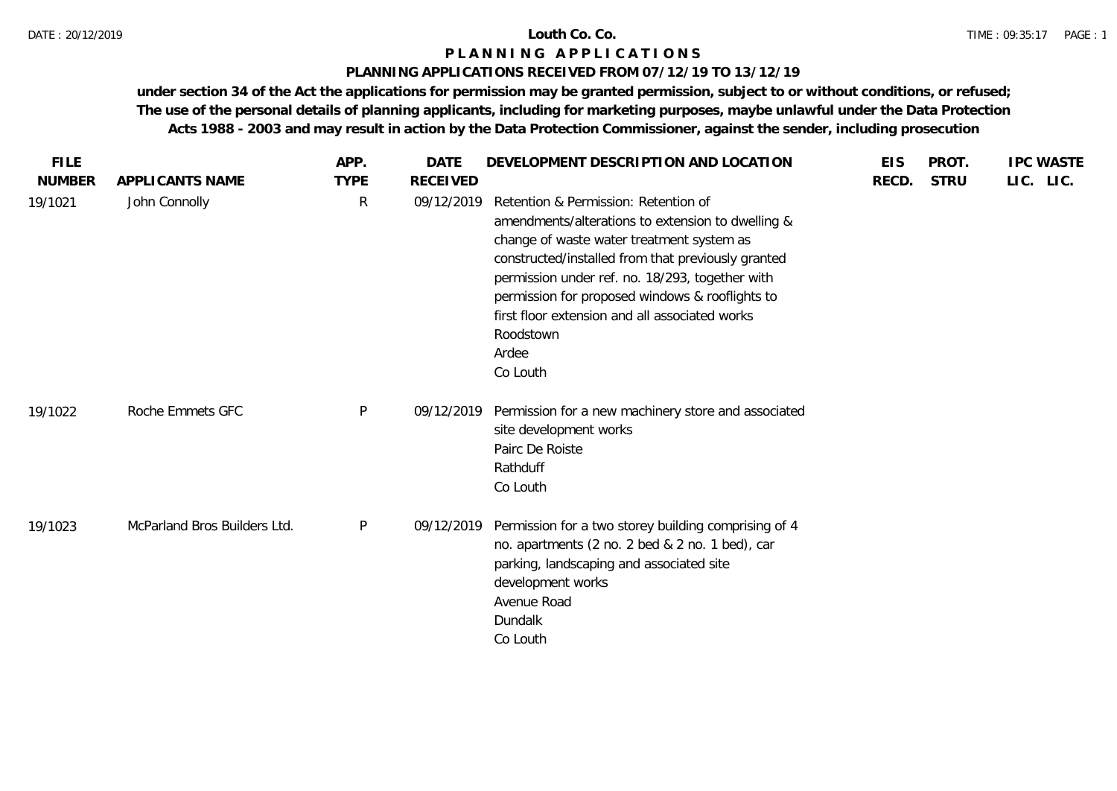### **PLANNING APPLICATIONS RECEIVED FROM 07/12/19 TO 13/12/19**

| <b>FILE</b>   |                              | APP.        | <b>DATE</b>     | DEVELOPMENT DESCRIPTION AND LOCATION                                                                                                                                                                                                                                                                                                                                                   | <b>EIS</b> | PROT.       | <b>IPC WASTE</b> |
|---------------|------------------------------|-------------|-----------------|----------------------------------------------------------------------------------------------------------------------------------------------------------------------------------------------------------------------------------------------------------------------------------------------------------------------------------------------------------------------------------------|------------|-------------|------------------|
| <b>NUMBER</b> | APPLICANTS NAME              | <b>TYPE</b> | <b>RECEIVED</b> |                                                                                                                                                                                                                                                                                                                                                                                        | RECD.      | <b>STRU</b> | LIC. LIC.        |
| 19/1021       | John Connolly                | R           | 09/12/2019      | Retention & Permission: Retention of<br>amendments/alterations to extension to dwelling &<br>change of waste water treatment system as<br>constructed/installed from that previously granted<br>permission under ref. no. 18/293, together with<br>permission for proposed windows & rooflights to<br>first floor extension and all associated works<br>Roodstown<br>Ardee<br>Co Louth |            |             |                  |
| 19/1022       | Roche Emmets GFC             | P           | 09/12/2019      | Permission for a new machinery store and associated<br>site development works<br>Pairc De Roiste<br>Rathduff<br>Co Louth                                                                                                                                                                                                                                                               |            |             |                  |
| 19/1023       | McParland Bros Builders Ltd. | P           | 09/12/2019      | Permission for a two storey building comprising of 4<br>no. apartments (2 no. 2 bed & 2 no. 1 bed), car<br>parking, landscaping and associated site<br>development works<br>Avenue Road<br>Dundalk<br>Co Louth                                                                                                                                                                         |            |             |                  |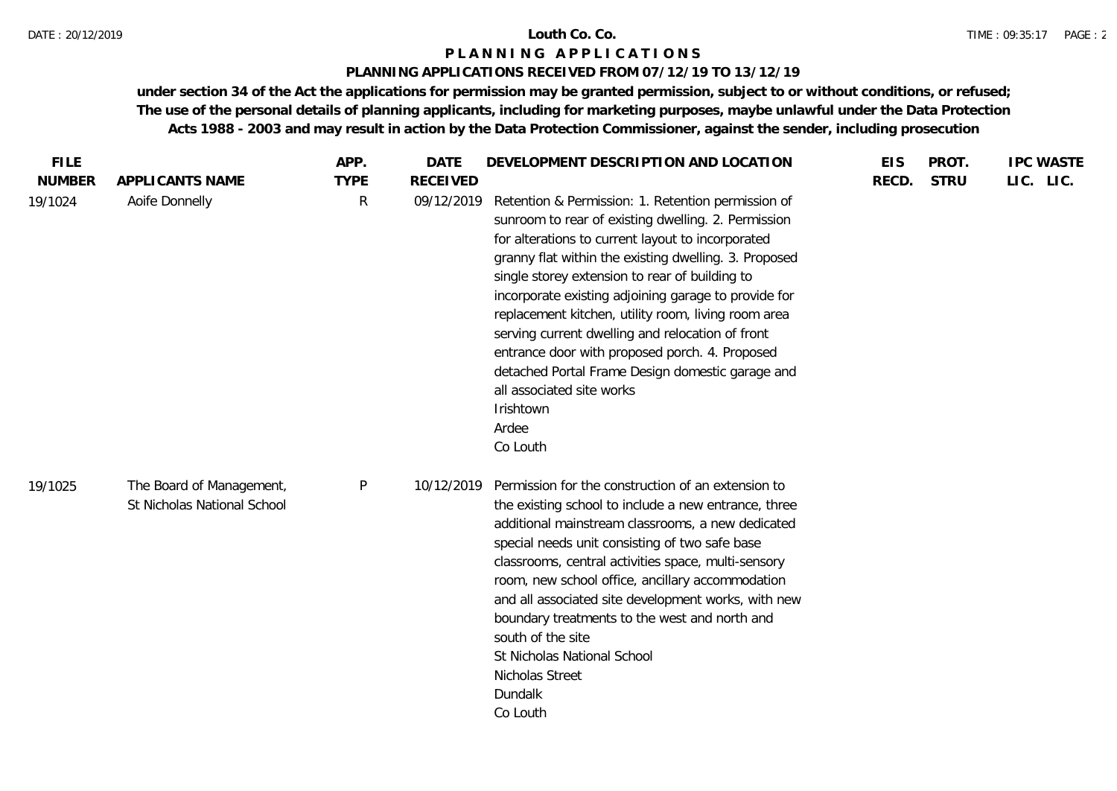## **PLANNING APPLICATIONS RECEIVED FROM 07/12/19 TO 13/12/19**

| <b>FILE</b><br><b>NUMBER</b> |                                                         | APP.             | <b>DATE</b>                   | DEVELOPMENT DESCRIPTION AND LOCATION                                                                                                                                                                                                                                                                                                                                                                                                                                                                                                                                                                              | <b>EIS</b> | PROT.       | <b>IPC WASTE</b> |
|------------------------------|---------------------------------------------------------|------------------|-------------------------------|-------------------------------------------------------------------------------------------------------------------------------------------------------------------------------------------------------------------------------------------------------------------------------------------------------------------------------------------------------------------------------------------------------------------------------------------------------------------------------------------------------------------------------------------------------------------------------------------------------------------|------------|-------------|------------------|
| 19/1024                      | APPLICANTS NAME<br>Aoife Donnelly                       | <b>TYPE</b><br>R | <b>RECEIVED</b><br>09/12/2019 | Retention & Permission: 1. Retention permission of<br>sunroom to rear of existing dwelling. 2. Permission<br>for alterations to current layout to incorporated<br>granny flat within the existing dwelling. 3. Proposed<br>single storey extension to rear of building to<br>incorporate existing adjoining garage to provide for<br>replacement kitchen, utility room, living room area<br>serving current dwelling and relocation of front<br>entrance door with proposed porch. 4. Proposed<br>detached Portal Frame Design domestic garage and<br>all associated site works<br>Irishtown<br>Ardee<br>Co Louth | RECD.      | <b>STRU</b> | LIC. LIC.        |
| 19/1025                      | The Board of Management,<br>St Nicholas National School | $\mathsf{P}$     | 10/12/2019                    | Permission for the construction of an extension to<br>the existing school to include a new entrance, three<br>additional mainstream classrooms, a new dedicated<br>special needs unit consisting of two safe base<br>classrooms, central activities space, multi-sensory<br>room, new school office, ancillary accommodation<br>and all associated site development works, with new<br>boundary treatments to the west and north and<br>south of the site<br>St Nicholas National School<br>Nicholas Street<br>Dundalk<br>Co Louth                                                                                |            |             |                  |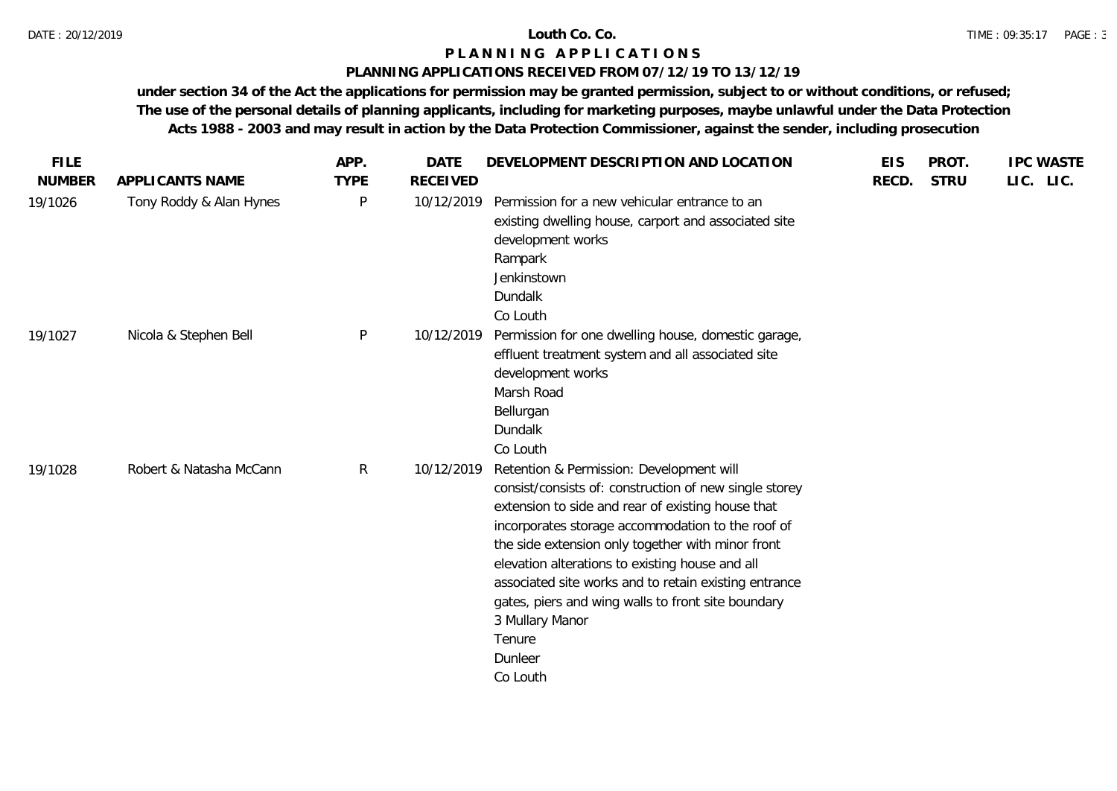## **PLANNING APPLICATIONS RECEIVED FROM 07/12/19 TO 13/12/19**

| <b>FILE</b>   |                         | APP.         | <b>DATE</b>     | DEVELOPMENT DESCRIPTION AND LOCATION                                                                                                                                                                                                                                                                                                                                                                                                                                                    | <b>EIS</b> | PROT.       | <b>IPC WASTE</b> |
|---------------|-------------------------|--------------|-----------------|-----------------------------------------------------------------------------------------------------------------------------------------------------------------------------------------------------------------------------------------------------------------------------------------------------------------------------------------------------------------------------------------------------------------------------------------------------------------------------------------|------------|-------------|------------------|
| <b>NUMBER</b> | APPLICANTS NAME         | <b>TYPE</b>  | <b>RECEIVED</b> |                                                                                                                                                                                                                                                                                                                                                                                                                                                                                         | RECD.      | <b>STRU</b> | LIC. LIC.        |
| 19/1026       | Tony Roddy & Alan Hynes | P            | 10/12/2019      | Permission for a new vehicular entrance to an<br>existing dwelling house, carport and associated site<br>development works<br>Rampark<br>Jenkinstown<br>Dundalk<br>Co Louth                                                                                                                                                                                                                                                                                                             |            |             |                  |
| 19/1027       | Nicola & Stephen Bell   | P            | 10/12/2019      | Permission for one dwelling house, domestic garage,<br>effluent treatment system and all associated site<br>development works<br>Marsh Road<br>Bellurgan<br>Dundalk<br>Co Louth                                                                                                                                                                                                                                                                                                         |            |             |                  |
| 19/1028       | Robert & Natasha McCann | $\mathsf{R}$ | 10/12/2019      | Retention & Permission: Development will<br>consist/consists of: construction of new single storey<br>extension to side and rear of existing house that<br>incorporates storage accommodation to the roof of<br>the side extension only together with minor front<br>elevation alterations to existing house and all<br>associated site works and to retain existing entrance<br>gates, piers and wing walls to front site boundary<br>3 Mullary Manor<br>Tenure<br>Dunleer<br>Co Louth |            |             |                  |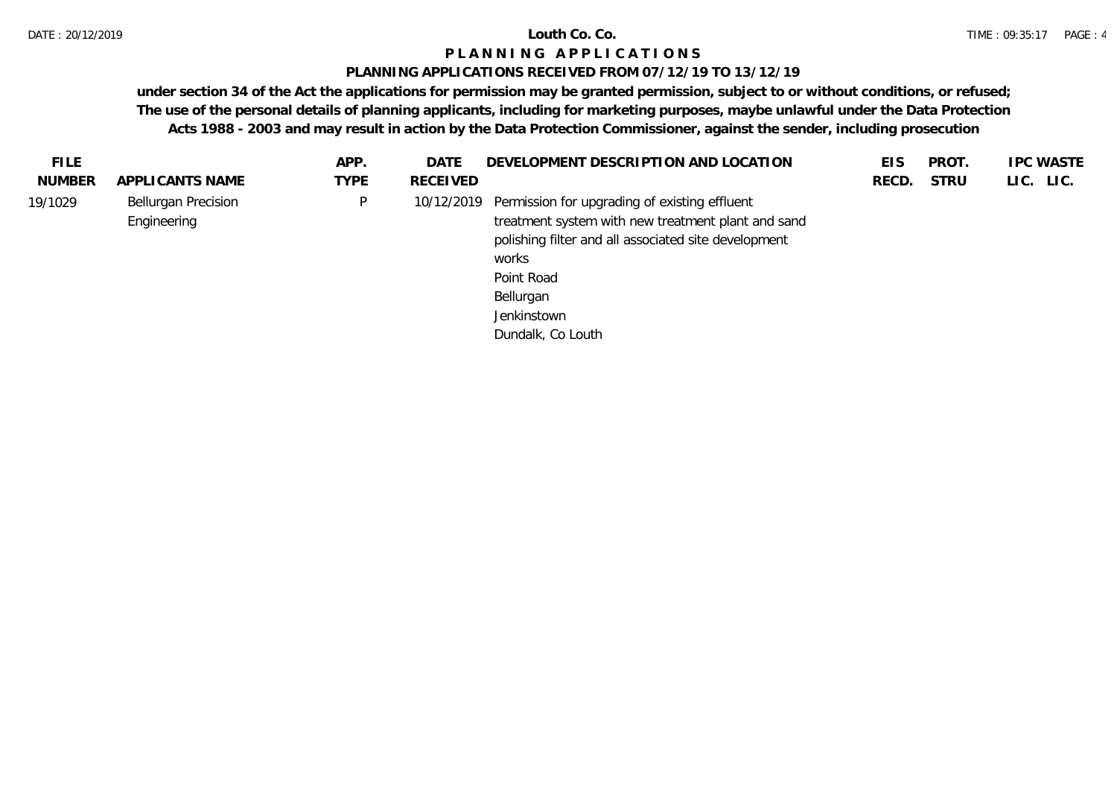## **PLANNING APPLICATIONS RECEIVED FROM 07/12/19 TO 13/12/19**

| <b>FILE</b>   |                                           | APP.        | DATE            | DEVELOPMENT DESCRIPTION AND LOCATION                                                                                                                                                                                                           | <b>EIS</b> | <b>PROT</b> | <b>IPC WASTE</b> |
|---------------|-------------------------------------------|-------------|-----------------|------------------------------------------------------------------------------------------------------------------------------------------------------------------------------------------------------------------------------------------------|------------|-------------|------------------|
| <b>NUMBER</b> | APPLICANTS NAME                           | <b>TYPE</b> | <b>RECEIVED</b> |                                                                                                                                                                                                                                                | RECD.      | <b>STRU</b> | LIC. LIC.        |
| 19/1029       | <b>Bellurgan Precision</b><br>Engineering | P.          |                 | 10/12/2019 Permission for upgrading of existing effluent<br>treatment system with new treatment plant and sand<br>polishing filter and all associated site development<br>works<br>Point Road<br>Bellurgan<br>Jenkinstown<br>Dundalk, Co Louth |            |             |                  |
|               |                                           |             |                 |                                                                                                                                                                                                                                                |            |             |                  |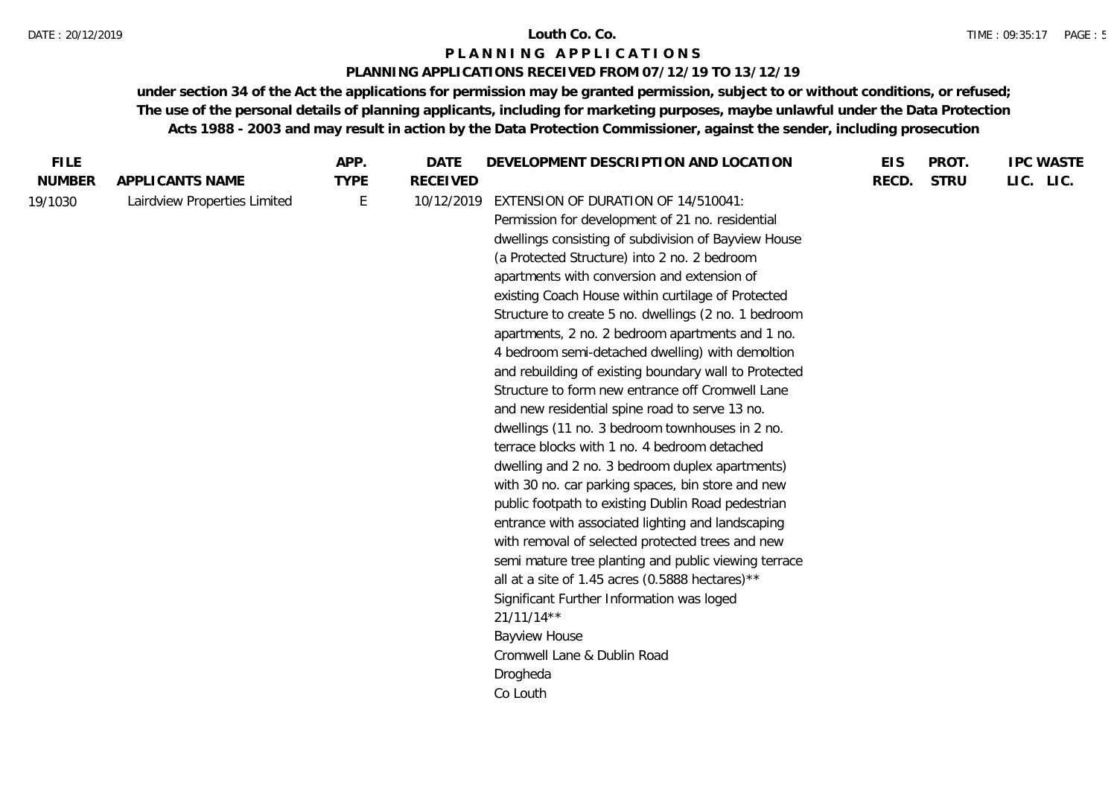## **PLANNING APPLICATIONS RECEIVED FROM 07/12/19 TO 13/12/19**

| <b>FILE</b>   |                              | APP.        | <b>DATE</b>     | DEVELOPMENT DESCRIPTION AND LOCATION                  | <b>EIS</b> | PROT.       | <b>IPC WASTE</b> |
|---------------|------------------------------|-------------|-----------------|-------------------------------------------------------|------------|-------------|------------------|
| <b>NUMBER</b> | APPLICANTS NAME              | <b>TYPE</b> | <b>RECEIVED</b> |                                                       | RECD.      | <b>STRU</b> | LIC. LIC.        |
| 19/1030       | Lairdview Properties Limited | E           | 10/12/2019      | EXTENSION OF DURATION OF 14/510041:                   |            |             |                  |
|               |                              |             |                 | Permission for development of 21 no. residential      |            |             |                  |
|               |                              |             |                 | dwellings consisting of subdivision of Bayview House  |            |             |                  |
|               |                              |             |                 | (a Protected Structure) into 2 no. 2 bedroom          |            |             |                  |
|               |                              |             |                 | apartments with conversion and extension of           |            |             |                  |
|               |                              |             |                 | existing Coach House within curtilage of Protected    |            |             |                  |
|               |                              |             |                 | Structure to create 5 no. dwellings (2 no. 1 bedroom  |            |             |                  |
|               |                              |             |                 | apartments, 2 no. 2 bedroom apartments and 1 no.      |            |             |                  |
|               |                              |             |                 | 4 bedroom semi-detached dwelling) with demoltion      |            |             |                  |
|               |                              |             |                 | and rebuilding of existing boundary wall to Protected |            |             |                  |
|               |                              |             |                 | Structure to form new entrance off Cromwell Lane      |            |             |                  |
|               |                              |             |                 | and new residential spine road to serve 13 no.        |            |             |                  |
|               |                              |             |                 | dwellings (11 no. 3 bedroom townhouses in 2 no.       |            |             |                  |
|               |                              |             |                 | terrace blocks with 1 no. 4 bedroom detached          |            |             |                  |
|               |                              |             |                 | dwelling and 2 no. 3 bedroom duplex apartments)       |            |             |                  |
|               |                              |             |                 | with 30 no. car parking spaces, bin store and new     |            |             |                  |
|               |                              |             |                 | public footpath to existing Dublin Road pedestrian    |            |             |                  |
|               |                              |             |                 | entrance with associated lighting and landscaping     |            |             |                  |
|               |                              |             |                 | with removal of selected protected trees and new      |            |             |                  |
|               |                              |             |                 | semi mature tree planting and public viewing terrace  |            |             |                  |
|               |                              |             |                 | all at a site of 1.45 acres (0.5888 hectares)**       |            |             |                  |
|               |                              |             |                 | Significant Further Information was loged             |            |             |                  |
|               |                              |             |                 | $21/11/14**$                                          |            |             |                  |
|               |                              |             |                 | <b>Bayview House</b>                                  |            |             |                  |
|               |                              |             |                 | Cromwell Lane & Dublin Road                           |            |             |                  |
|               |                              |             |                 | Drogheda                                              |            |             |                  |
|               |                              |             |                 | Co Louth                                              |            |             |                  |
|               |                              |             |                 |                                                       |            |             |                  |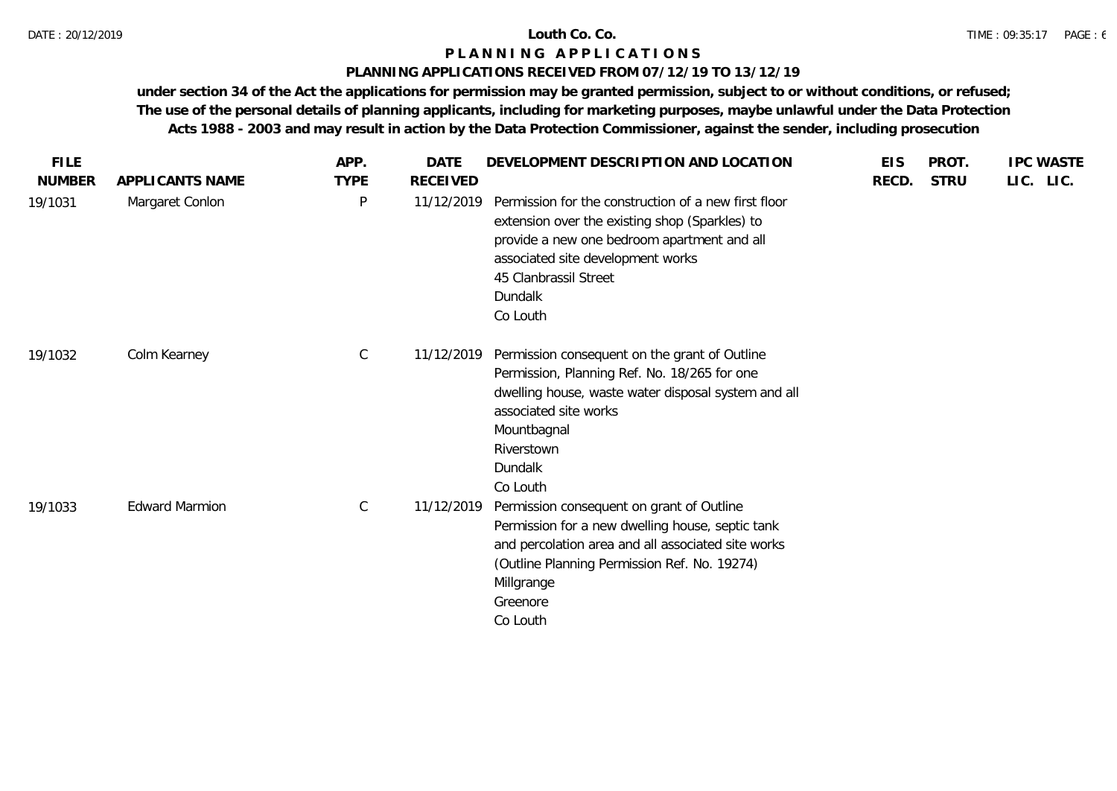## **PLANNING APPLICATIONS RECEIVED FROM 07/12/19 TO 13/12/19**

| <b>FILE</b>   |                       | APP.        | <b>DATE</b>     | DEVELOPMENT DESCRIPTION AND LOCATION                                                                                                                                                                                                       | <b>EIS</b> | PROT.       | <b>IPC WASTE</b> |
|---------------|-----------------------|-------------|-----------------|--------------------------------------------------------------------------------------------------------------------------------------------------------------------------------------------------------------------------------------------|------------|-------------|------------------|
| <b>NUMBER</b> | APPLICANTS NAME       | <b>TYPE</b> | <b>RECEIVED</b> |                                                                                                                                                                                                                                            | RECD.      | <b>STRU</b> | LIC. LIC.        |
| 19/1031       | Margaret Conlon       | $\sf P$     | 11/12/2019      | Permission for the construction of a new first floor<br>extension over the existing shop (Sparkles) to<br>provide a new one bedroom apartment and all<br>associated site development works<br>45 Clanbrassil Street<br>Dundalk<br>Co Louth |            |             |                  |
| 19/1032       | Colm Kearney          | $\mathsf C$ | 11/12/2019      | Permission consequent on the grant of Outline<br>Permission, Planning Ref. No. 18/265 for one<br>dwelling house, waste water disposal system and all<br>associated site works<br>Mountbagnal<br>Riverstown<br>Dundalk<br>Co Louth          |            |             |                  |
| 19/1033       | <b>Edward Marmion</b> | $\mathsf C$ | 11/12/2019      | Permission consequent on grant of Outline<br>Permission for a new dwelling house, septic tank<br>and percolation area and all associated site works<br>(Outline Planning Permission Ref. No. 19274)<br>Millgrange<br>Greenore<br>Co Louth  |            |             |                  |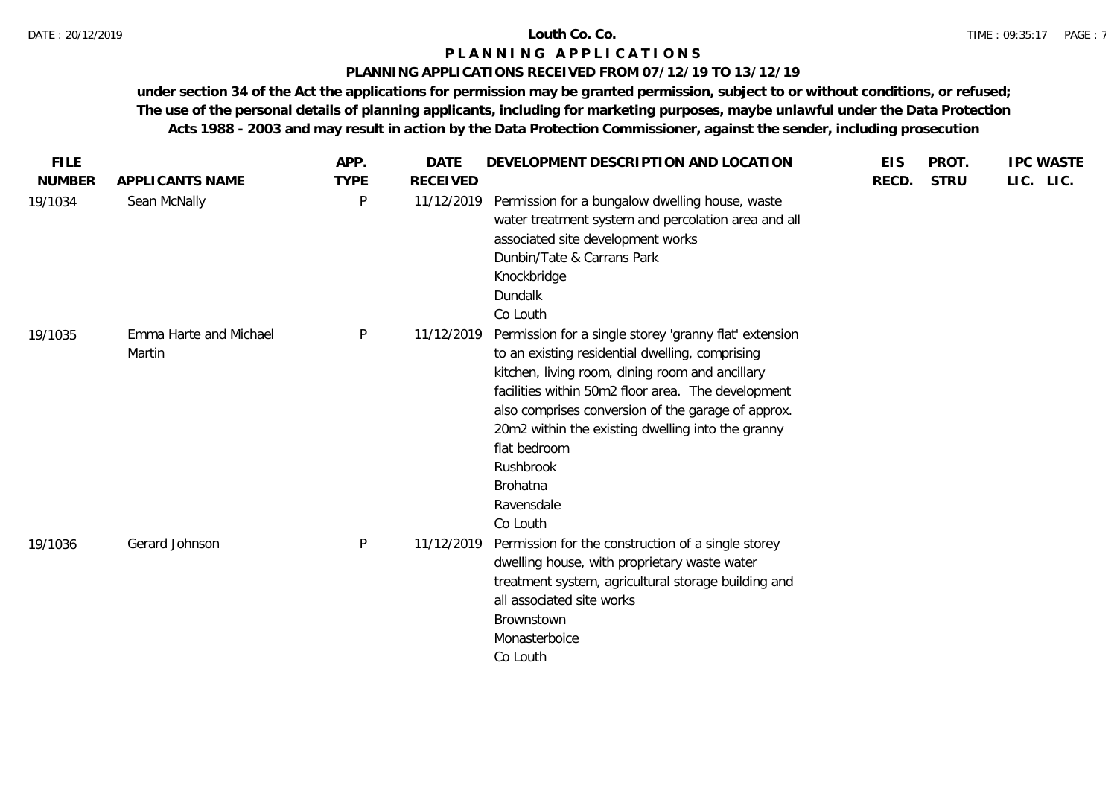## **PLANNING APPLICATIONS RECEIVED FROM 07/12/19 TO 13/12/19**

| <b>FILE</b>   |                                  | APP.         | <b>DATE</b>     | DEVELOPMENT DESCRIPTION AND LOCATION                                                                                                                                                                                                                                                                                                                                                             | <b>EIS</b> | PROT.       | <b>IPC WASTE</b> |
|---------------|----------------------------------|--------------|-----------------|--------------------------------------------------------------------------------------------------------------------------------------------------------------------------------------------------------------------------------------------------------------------------------------------------------------------------------------------------------------------------------------------------|------------|-------------|------------------|
| <b>NUMBER</b> | APPLICANTS NAME                  | <b>TYPE</b>  | <b>RECEIVED</b> |                                                                                                                                                                                                                                                                                                                                                                                                  | RECD.      | <b>STRU</b> | LIC. LIC.        |
| 19/1034       | Sean McNally                     | P            | 11/12/2019      | Permission for a bungalow dwelling house, waste<br>water treatment system and percolation area and all<br>associated site development works<br>Dunbin/Tate & Carrans Park<br>Knockbridge<br>Dundalk<br>Co Louth                                                                                                                                                                                  |            |             |                  |
| 19/1035       | Emma Harte and Michael<br>Martin | $\mathsf{P}$ | 11/12/2019      | Permission for a single storey 'granny flat' extension<br>to an existing residential dwelling, comprising<br>kitchen, living room, dining room and ancillary<br>facilities within 50m2 floor area. The development<br>also comprises conversion of the garage of approx.<br>20m2 within the existing dwelling into the granny<br>flat bedroom<br>Rushbrook<br>Brohatna<br>Ravensdale<br>Co Louth |            |             |                  |
| 19/1036       | Gerard Johnson                   | $\mathsf{P}$ | 11/12/2019      | Permission for the construction of a single storey<br>dwelling house, with proprietary waste water<br>treatment system, agricultural storage building and<br>all associated site works<br>Brownstown<br>Monasterboice<br>Co Louth                                                                                                                                                                |            |             |                  |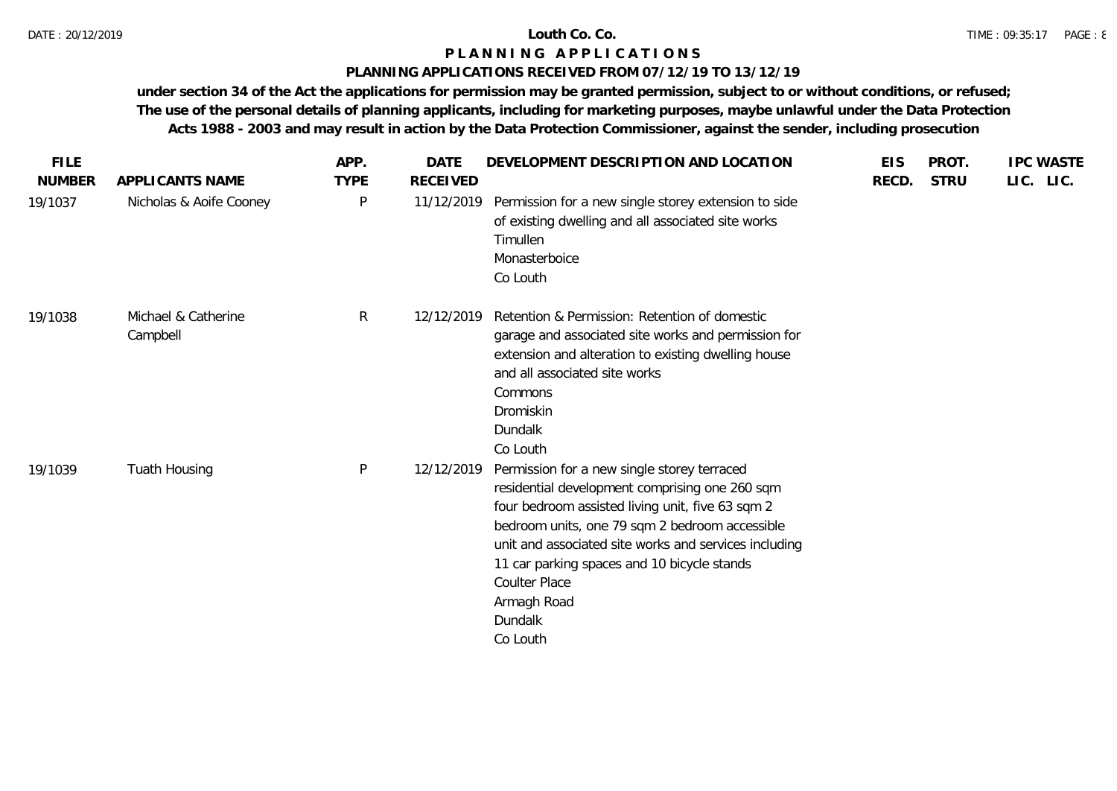## **PLANNING APPLICATIONS RECEIVED FROM 07/12/19 TO 13/12/19**

| <b>FILE</b><br><b>NUMBER</b> | APPLICANTS NAME                 | APP.<br><b>TYPE</b> | <b>DATE</b><br><b>RECEIVED</b> | DEVELOPMENT DESCRIPTION AND LOCATION                                                                                                                                                                                                                                                                                                                               | <b>EIS</b><br>RECD. | PROT.<br><b>STRU</b> | <b>IPC WASTE</b><br>LIC. LIC. |
|------------------------------|---------------------------------|---------------------|--------------------------------|--------------------------------------------------------------------------------------------------------------------------------------------------------------------------------------------------------------------------------------------------------------------------------------------------------------------------------------------------------------------|---------------------|----------------------|-------------------------------|
| 19/1037                      | Nicholas & Aoife Cooney         | $\mathsf{P}$        | 11/12/2019                     | Permission for a new single storey extension to side<br>of existing dwelling and all associated site works<br>Timullen<br>Monasterboice<br>Co Louth                                                                                                                                                                                                                |                     |                      |                               |
| 19/1038                      | Michael & Catherine<br>Campbell | R                   | 12/12/2019                     | Retention & Permission: Retention of domestic<br>garage and associated site works and permission for<br>extension and alteration to existing dwelling house<br>and all associated site works<br>Commons<br>Dromiskin<br>Dundalk<br>Co Louth                                                                                                                        |                     |                      |                               |
| 19/1039                      | Tuath Housing                   | $\mathsf{P}$        | 12/12/2019                     | Permission for a new single storey terraced<br>residential development comprising one 260 sqm<br>four bedroom assisted living unit, five 63 sqm 2<br>bedroom units, one 79 sqm 2 bedroom accessible<br>unit and associated site works and services including<br>11 car parking spaces and 10 bicycle stands<br>Coulter Place<br>Armagh Road<br>Dundalk<br>Co Louth |                     |                      |                               |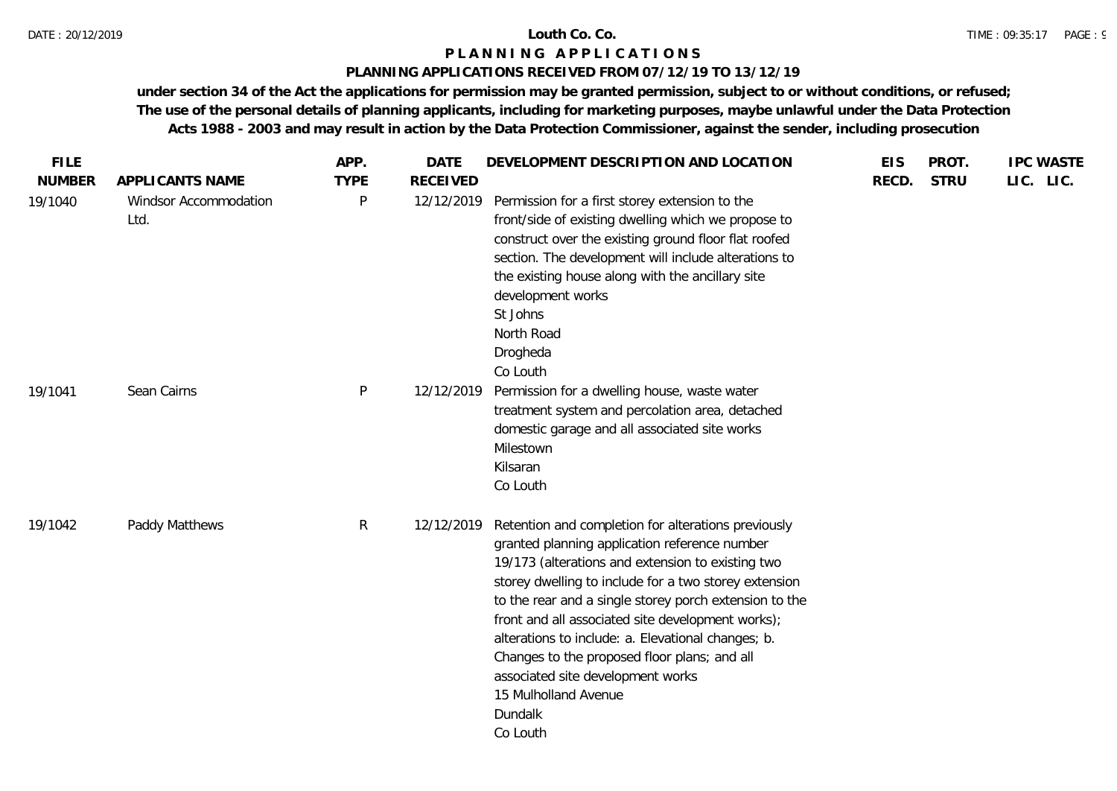#### DATE : 20/12/2019 **Louth Co. Co.**

## **P L A N N I N G A P P L I C A T I O N S**

## **PLANNING APPLICATIONS RECEIVED FROM 07/12/19 TO 13/12/19**

| <b>FILE</b>   |                               | APP.         | <b>DATE</b>     | DEVELOPMENT DESCRIPTION AND LOCATION                                                                                                                                                                                                                                                                                                                                                                                                                                                                                        | <b>EIS</b> | PROT.       | <b>IPC WASTE</b> |
|---------------|-------------------------------|--------------|-----------------|-----------------------------------------------------------------------------------------------------------------------------------------------------------------------------------------------------------------------------------------------------------------------------------------------------------------------------------------------------------------------------------------------------------------------------------------------------------------------------------------------------------------------------|------------|-------------|------------------|
| <b>NUMBER</b> | APPLICANTS NAME               | <b>TYPE</b>  | <b>RECEIVED</b> |                                                                                                                                                                                                                                                                                                                                                                                                                                                                                                                             | RECD.      | <b>STRU</b> | LIC. LIC.        |
| 19/1040       | Windsor Accommodation<br>Ltd. | P            | 12/12/2019      | Permission for a first storey extension to the<br>front/side of existing dwelling which we propose to<br>construct over the existing ground floor flat roofed<br>section. The development will include alterations to<br>the existing house along with the ancillary site<br>development works<br>St Johns<br>North Road<br>Drogheda<br>Co Louth                                                                                                                                                                            |            |             |                  |
| 19/1041       | Sean Cairns                   | P            | 12/12/2019      | Permission for a dwelling house, waste water<br>treatment system and percolation area, detached<br>domestic garage and all associated site works<br>Milestown<br>Kilsaran<br>Co Louth                                                                                                                                                                                                                                                                                                                                       |            |             |                  |
| 19/1042       | Paddy Matthews                | $\mathsf{R}$ | 12/12/2019      | Retention and completion for alterations previously<br>granted planning application reference number<br>19/173 (alterations and extension to existing two<br>storey dwelling to include for a two storey extension<br>to the rear and a single storey porch extension to the<br>front and all associated site development works);<br>alterations to include: a. Elevational changes; b.<br>Changes to the proposed floor plans; and all<br>associated site development works<br>15 Mulholland Avenue<br>Dundalk<br>Co Louth |            |             |                  |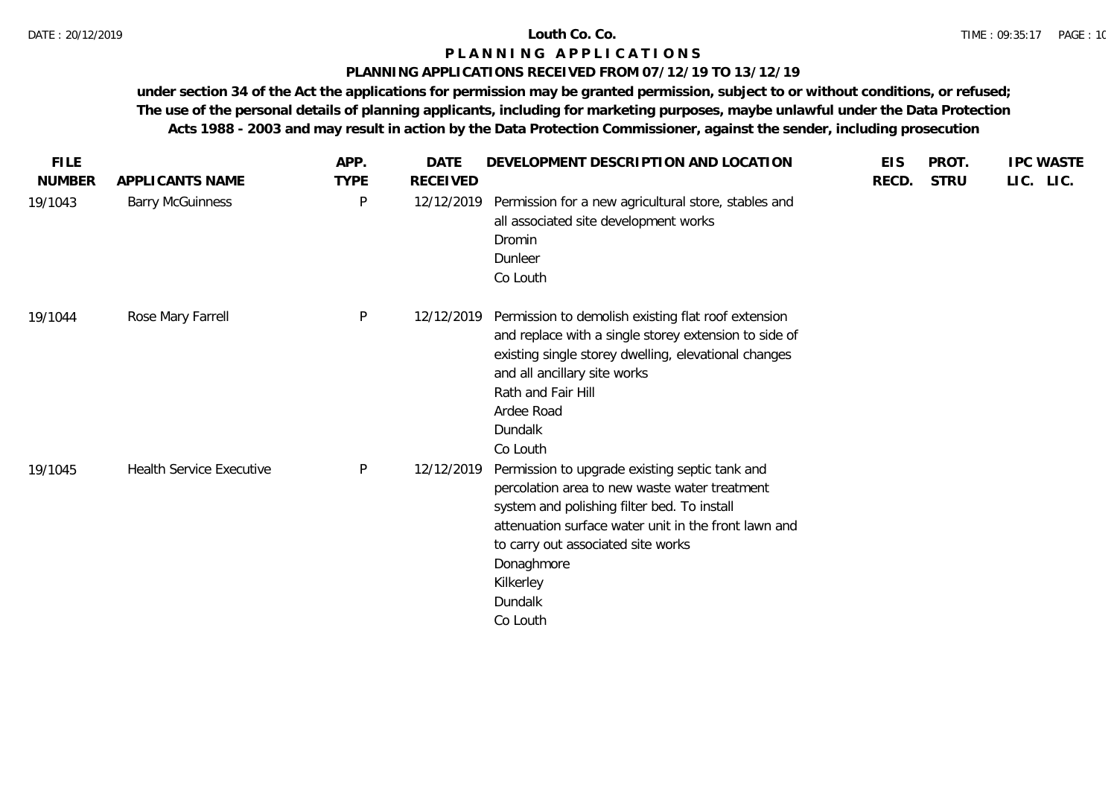### **PLANNING APPLICATIONS RECEIVED FROM 07/12/19 TO 13/12/19**

| <b>FILE</b>   |                                 | APP.        | <b>DATE</b> | DEVELOPMENT DESCRIPTION AND LOCATION                                                                                                                                                                                                                                                           | <b>EIS</b> | PROT.       | <b>IPC WASTE</b> |
|---------------|---------------------------------|-------------|-------------|------------------------------------------------------------------------------------------------------------------------------------------------------------------------------------------------------------------------------------------------------------------------------------------------|------------|-------------|------------------|
| <b>NUMBER</b> | APPLICANTS NAME                 | <b>TYPE</b> | RECEIVED    |                                                                                                                                                                                                                                                                                                | RECD.      | <b>STRU</b> | LIC. LIC.        |
| 19/1043       | <b>Barry McGuinness</b>         | P           | 12/12/2019  | Permission for a new agricultural store, stables and<br>all associated site development works<br>Dromin<br>Dunleer<br>Co Louth                                                                                                                                                                 |            |             |                  |
| 19/1044       | Rose Mary Farrell               | P           | 12/12/2019  | Permission to demolish existing flat roof extension<br>and replace with a single storey extension to side of<br>existing single storey dwelling, elevational changes<br>and all ancillary site works<br>Rath and Fair Hill<br>Ardee Road<br>Dundalk<br>Co Louth                                |            |             |                  |
| 19/1045       | <b>Health Service Executive</b> | P           | 12/12/2019  | Permission to upgrade existing septic tank and<br>percolation area to new waste water treatment<br>system and polishing filter bed. To install<br>attenuation surface water unit in the front lawn and<br>to carry out associated site works<br>Donaghmore<br>Kilkerley<br>Dundalk<br>Co Louth |            |             |                  |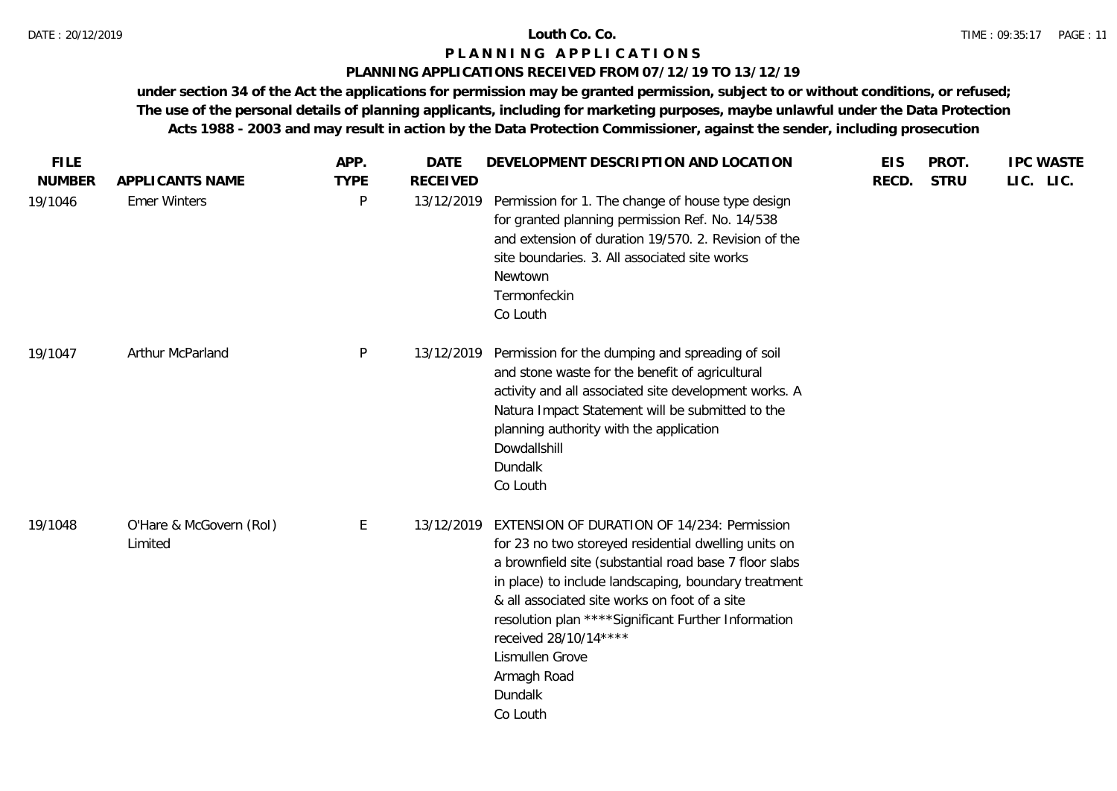## **PLANNING APPLICATIONS RECEIVED FROM 07/12/19 TO 13/12/19**

| <b>FILE</b>   |                                    | APP.        | <b>DATE</b>     | DEVELOPMENT DESCRIPTION AND LOCATION                                                                                                                                                                                                                                                                                                                                                                             | <b>EIS</b> | PROT.       | <b>IPC WASTE</b> |
|---------------|------------------------------------|-------------|-----------------|------------------------------------------------------------------------------------------------------------------------------------------------------------------------------------------------------------------------------------------------------------------------------------------------------------------------------------------------------------------------------------------------------------------|------------|-------------|------------------|
| <b>NUMBER</b> | APPLICANTS NAME                    | <b>TYPE</b> | <b>RECEIVED</b> |                                                                                                                                                                                                                                                                                                                                                                                                                  | RECD.      | <b>STRU</b> | LIC. LIC.        |
| 19/1046       | <b>Emer Winters</b>                | P           | 13/12/2019      | Permission for 1. The change of house type design<br>for granted planning permission Ref. No. 14/538<br>and extension of duration 19/570. 2. Revision of the<br>site boundaries. 3. All associated site works<br>Newtown<br>Termonfeckin<br>Co Louth                                                                                                                                                             |            |             |                  |
| 19/1047       | Arthur McParland                   | P           | 13/12/2019      | Permission for the dumping and spreading of soil<br>and stone waste for the benefit of agricultural<br>activity and all associated site development works. A<br>Natura Impact Statement will be submitted to the<br>planning authority with the application<br>Dowdallshill<br>Dundalk<br>Co Louth                                                                                                               |            |             |                  |
| 19/1048       | O'Hare & McGovern (RoI)<br>Limited | E           | 13/12/2019      | EXTENSION OF DURATION OF 14/234: Permission<br>for 23 no two storeyed residential dwelling units on<br>a brownfield site (substantial road base 7 floor slabs<br>in place) to include landscaping, boundary treatment<br>& all associated site works on foot of a site<br>resolution plan **** Significant Further Information<br>received 28/10/14****<br>Lismullen Grove<br>Armagh Road<br>Dundalk<br>Co Louth |            |             |                  |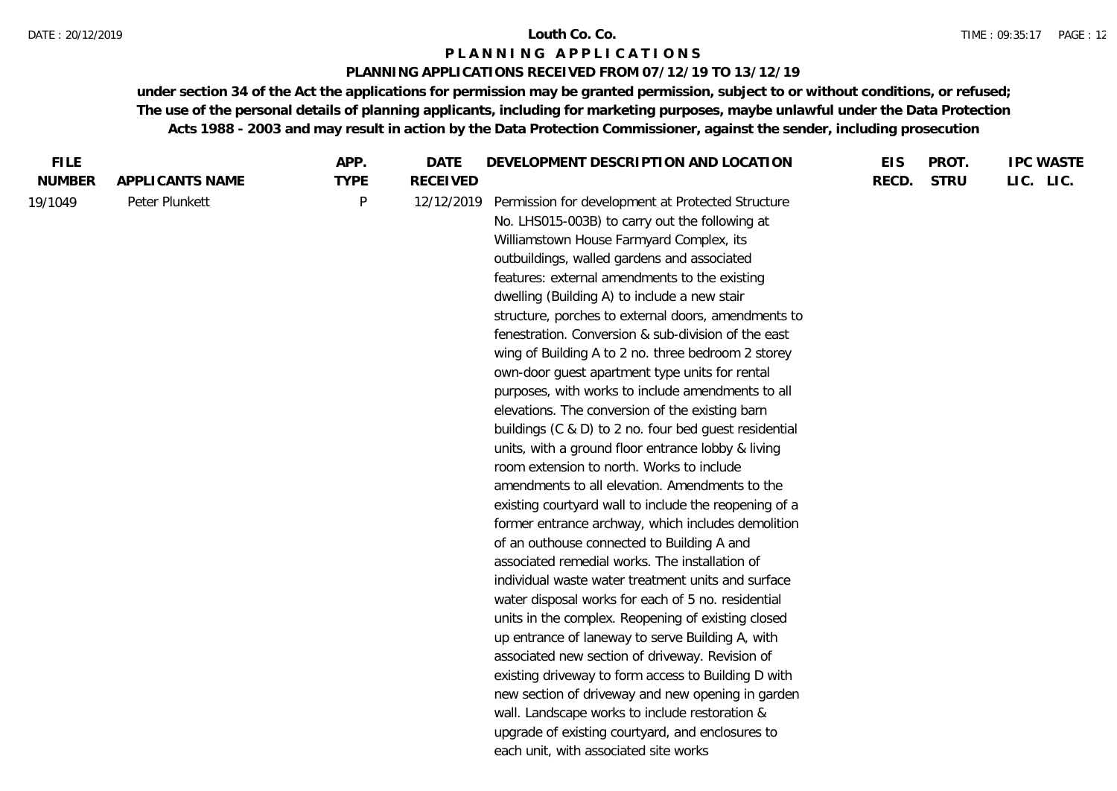### **PLANNING APPLICATIONS RECEIVED FROM 07/12/19 TO 13/12/19**

| <b>FILE</b>              |                                   | APP.                     | <b>DATE</b>                   | DEVELOPMENT DESCRIPTION AND LOCATION                                                                                                                                                                                                                                                                                                                                                                                                                                                                                                                                                                                                                                                                                                                                                                                                                                                                                                                                                                                                                                  | <b>EIS</b> | PROT.       | <b>IPC WASTE</b> |
|--------------------------|-----------------------------------|--------------------------|-------------------------------|-----------------------------------------------------------------------------------------------------------------------------------------------------------------------------------------------------------------------------------------------------------------------------------------------------------------------------------------------------------------------------------------------------------------------------------------------------------------------------------------------------------------------------------------------------------------------------------------------------------------------------------------------------------------------------------------------------------------------------------------------------------------------------------------------------------------------------------------------------------------------------------------------------------------------------------------------------------------------------------------------------------------------------------------------------------------------|------------|-------------|------------------|
|                          |                                   |                          |                               |                                                                                                                                                                                                                                                                                                                                                                                                                                                                                                                                                                                                                                                                                                                                                                                                                                                                                                                                                                                                                                                                       |            |             |                  |
| <b>NUMBER</b><br>19/1049 | APPLICANTS NAME<br>Peter Plunkett | <b>TYPE</b><br>${\sf P}$ | <b>RECEIVED</b><br>12/12/2019 | Permission for development at Protected Structure<br>No. LHS015-003B) to carry out the following at<br>Williamstown House Farmyard Complex, its<br>outbuildings, walled gardens and associated<br>features: external amendments to the existing<br>dwelling (Building A) to include a new stair<br>structure, porches to external doors, amendments to<br>fenestration. Conversion & sub-division of the east<br>wing of Building A to 2 no. three bedroom 2 storey<br>own-door guest apartment type units for rental                                                                                                                                                                                                                                                                                                                                                                                                                                                                                                                                                 | RECD.      | <b>STRU</b> | LIC. LIC.        |
|                          |                                   |                          |                               | purposes, with works to include amendments to all<br>elevations. The conversion of the existing barn<br>buildings (C & D) to 2 no. four bed guest residential<br>units, with a ground floor entrance lobby & living<br>room extension to north. Works to include<br>amendments to all elevation. Amendments to the<br>existing courtyard wall to include the reopening of a<br>former entrance archway, which includes demolition<br>of an outhouse connected to Building A and<br>associated remedial works. The installation of<br>individual waste water treatment units and surface<br>water disposal works for each of 5 no. residential<br>units in the complex. Reopening of existing closed<br>up entrance of laneway to serve Building A, with<br>associated new section of driveway. Revision of<br>existing driveway to form access to Building D with<br>new section of driveway and new opening in garden<br>wall. Landscape works to include restoration &<br>upgrade of existing courtyard, and enclosures to<br>each unit, with associated site works |            |             |                  |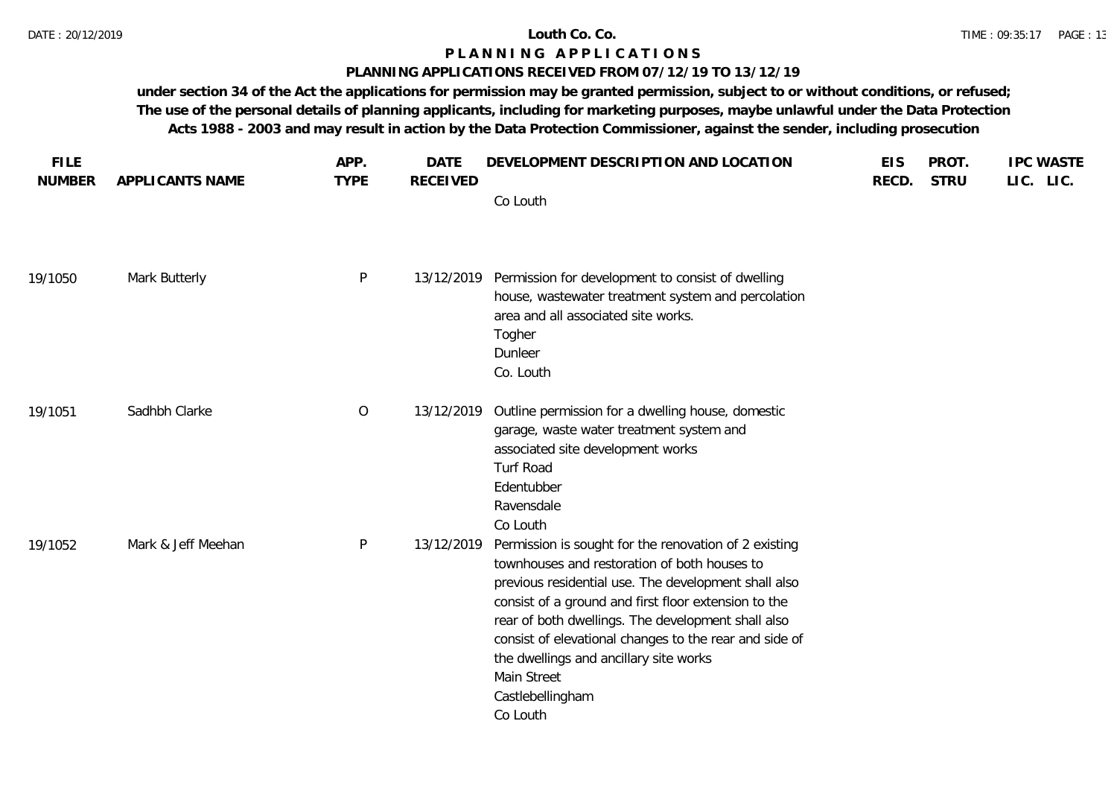### **PLANNING APPLICATIONS RECEIVED FROM 07/12/19 TO 13/12/19**

| <b>FILE</b><br><b>NUMBER</b> | APPLICANTS NAME    | APP.<br><b>TYPE</b> | <b>DATE</b><br><b>RECEIVED</b> | DEVELOPMENT DESCRIPTION AND LOCATION                                                                                                                                                                                                                                                                                                                                                                                           | <b>EIS</b><br>RECD. | PROT.<br><b>STRU</b> | <b>IPC WASTE</b><br>LIC. LIC. |
|------------------------------|--------------------|---------------------|--------------------------------|--------------------------------------------------------------------------------------------------------------------------------------------------------------------------------------------------------------------------------------------------------------------------------------------------------------------------------------------------------------------------------------------------------------------------------|---------------------|----------------------|-------------------------------|
|                              |                    |                     |                                | Co Louth                                                                                                                                                                                                                                                                                                                                                                                                                       |                     |                      |                               |
| 19/1050                      | Mark Butterly      | ${\sf P}$           |                                | 13/12/2019 Permission for development to consist of dwelling<br>house, wastewater treatment system and percolation<br>area and all associated site works.<br>Togher<br>Dunleer<br>Co. Louth                                                                                                                                                                                                                                    |                     |                      |                               |
| 19/1051                      | Sadhbh Clarke      | $\overline{O}$      | 13/12/2019                     | Outline permission for a dwelling house, domestic<br>garage, waste water treatment system and<br>associated site development works<br>Turf Road<br>Edentubber<br>Ravensdale<br>Co Louth                                                                                                                                                                                                                                        |                     |                      |                               |
| 19/1052                      | Mark & Jeff Meehan | $\mathsf{P}$        | 13/12/2019                     | Permission is sought for the renovation of 2 existing<br>townhouses and restoration of both houses to<br>previous residential use. The development shall also<br>consist of a ground and first floor extension to the<br>rear of both dwellings. The development shall also<br>consist of elevational changes to the rear and side of<br>the dwellings and ancillary site works<br>Main Street<br>Castlebellingham<br>Co Louth |                     |                      |                               |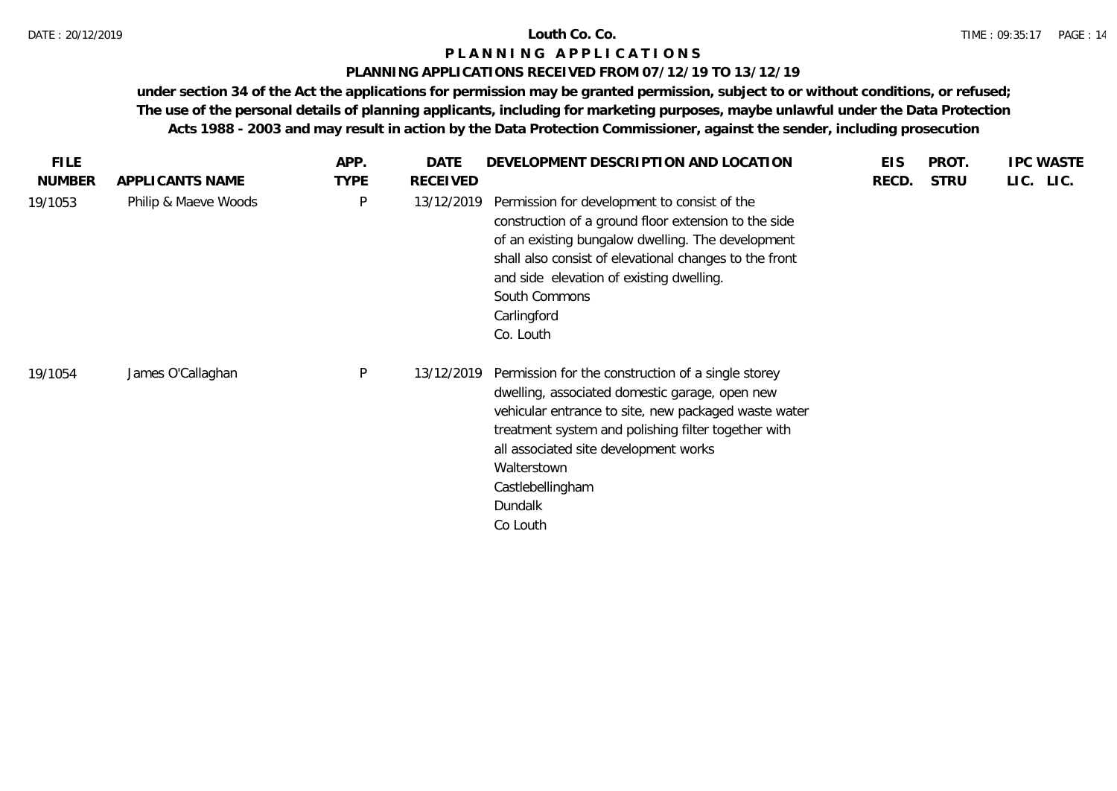### DATE : 20/12/2019 **Louth Co. Co.**

## **P L A N N I N G A P P L I C A T I O N S**

## **PLANNING APPLICATIONS RECEIVED FROM 07/12/19 TO 13/12/19**

| <b>FILE</b>   |                      | APP.         | DATE            | DEVELOPMENT DESCRIPTION AND LOCATION                                                                                                                                                                                                                                                                                   | <b>EIS</b> | PROT.       | <b>IPC WASTE</b> |
|---------------|----------------------|--------------|-----------------|------------------------------------------------------------------------------------------------------------------------------------------------------------------------------------------------------------------------------------------------------------------------------------------------------------------------|------------|-------------|------------------|
| <b>NUMBER</b> | APPLICANTS NAME      | <b>TYPE</b>  | <b>RECEIVED</b> |                                                                                                                                                                                                                                                                                                                        | RECD.      | <b>STRU</b> | LIC. LIC.        |
| 19/1053       | Philip & Maeve Woods | $\mathsf{P}$ | 13/12/2019      | Permission for development to consist of the<br>construction of a ground floor extension to the side<br>of an existing bungalow dwelling. The development<br>shall also consist of elevational changes to the front<br>and side elevation of existing dwelling.<br>South Commons<br>Carlingford<br>Co. Louth           |            |             |                  |
| 19/1054       | James O'Callaghan    | P            | 13/12/2019      | Permission for the construction of a single storey<br>dwelling, associated domestic garage, open new<br>vehicular entrance to site, new packaged waste water<br>treatment system and polishing filter together with<br>all associated site development works<br>Walterstown<br>Castlebellingham<br>Dundalk<br>Co Louth |            |             |                  |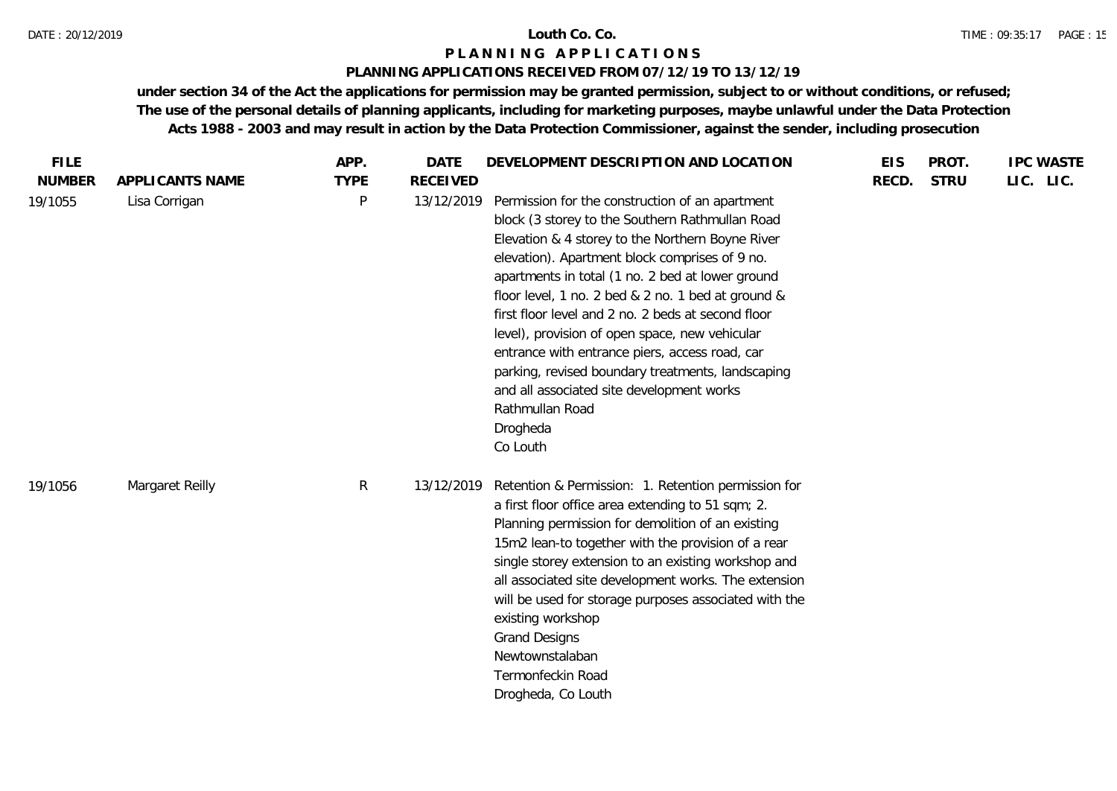## **PLANNING APPLICATIONS RECEIVED FROM 07/12/19 TO 13/12/19**

| <b>FILE</b>   |                 | APP.         | <b>DATE</b>     | DEVELOPMENT DESCRIPTION AND LOCATION                                                                                                                                                                                                                                                                                                                                                                                                                                                                                                                                                                                      | <b>EIS</b> | PROT.       | <b>IPC WASTE</b> |
|---------------|-----------------|--------------|-----------------|---------------------------------------------------------------------------------------------------------------------------------------------------------------------------------------------------------------------------------------------------------------------------------------------------------------------------------------------------------------------------------------------------------------------------------------------------------------------------------------------------------------------------------------------------------------------------------------------------------------------------|------------|-------------|------------------|
| <b>NUMBER</b> | APPLICANTS NAME | <b>TYPE</b>  | <b>RECEIVED</b> |                                                                                                                                                                                                                                                                                                                                                                                                                                                                                                                                                                                                                           | RECD.      | <b>STRU</b> | LIC. LIC.        |
| 19/1055       | Lisa Corrigan   | P            | 13/12/2019      | Permission for the construction of an apartment<br>block (3 storey to the Southern Rathmullan Road<br>Elevation & 4 storey to the Northern Boyne River<br>elevation). Apartment block comprises of 9 no.<br>apartments in total (1 no. 2 bed at lower ground<br>floor level, 1 no. 2 bed & 2 no. 1 bed at ground &<br>first floor level and 2 no. 2 beds at second floor<br>level), provision of open space, new vehicular<br>entrance with entrance piers, access road, car<br>parking, revised boundary treatments, landscaping<br>and all associated site development works<br>Rathmullan Road<br>Drogheda<br>Co Louth |            |             |                  |
| 19/1056       | Margaret Reilly | $\mathsf{R}$ | 13/12/2019      | Retention & Permission: 1. Retention permission for<br>a first floor office area extending to 51 sqm; 2.<br>Planning permission for demolition of an existing<br>15m2 lean-to together with the provision of a rear<br>single storey extension to an existing workshop and<br>all associated site development works. The extension<br>will be used for storage purposes associated with the<br>existing workshop<br><b>Grand Designs</b><br>Newtownstalaban<br>Termonfeckin Road<br>Drogheda, Co Louth                                                                                                                    |            |             |                  |